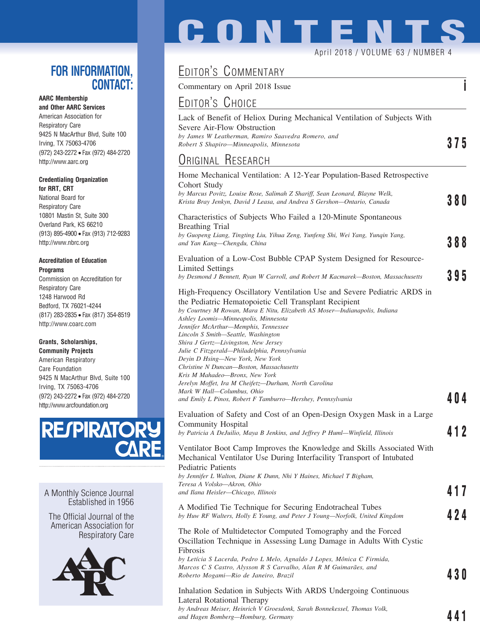### **FOR INFORMATION, CONTACT:**

### **AARC Membership**

**and Other AARC Services** American Association for Respiratory Care 9425 N MacArthur Blvd, Suite 100 Irving, TX 75063-4706 (972) 243-2272 • Fax (972) 484-2720 http://www.aarc.org

#### **Credentialing Organization for RRT, CRT**

National Board for Respiratory Care 10801 Mastin St, Suite 300 Overland Park, KS 66210 (913) 895-4900 • Fax (913) 712-9283 http://www.nbrc.org

#### **Accreditation of Education Programs**

Commission on Accreditation for Respiratory Care 1248 Harwood Rd Bedford, TX 76021-4244 (817) 283-2835 • Fax (817) 354-8519 http://www.coarc.com

#### **Grants, Scholarships,**

**Community Projects** American Respiratory Care Foundation 9425 N MacArthur Blvd, Suite 100 Irving, TX 75063-4706 (972) 243-2272 • Fax (972) 484-2720 http://www.arcfoundation.org



A Monthly Science Journal Established in 1956

The Official Journal of the American Association for Respiratory Care



## EDITOR'S COMMENTARY

**CONTENTS**

April 2018 / VOLUME 63 / NUMBER 4

Commentary on April 2018 Issue **i**

## EDITOR'S CHOICE

| Lack of Benefit of Heliox During Mechanical Ventilation of Subjects With<br>Severe Air-Flow Obstruction<br>by James W Leatherman, Ramiro Saavedra Romero, and<br>Robert S Shapiro-Minneapolis, Minnesota<br>ORIGINAL RESEARCH<br>Home Mechanical Ventilation: A 12-Year Population-Based Retrospective<br>Cohort Study<br>by Marcus Povitz, Louise Rose, Salimah Z Shariff, Sean Leonard, Blayne Welk,<br>Krista Bray Jenkyn, David J Leasa, and Andrea S Gershon—Ontario, Canada<br>Characteristics of Subjects Who Failed a 120-Minute Spontaneous<br><b>Breathing Trial</b><br>by Guopeng Liang, Tingting Liu, Yihua Zeng, Yunfeng Shi, Wei Yang, Yunqin Yang,<br>and Yan Kang—Chengdu, China<br>Evaluation of a Low-Cost Bubble CPAP System Designed for Resource-<br><b>Limited Settings</b><br>by Desmond J Bennett, Ryan W Carroll, and Robert M Kacmarek-Boston, Massachusetts<br>High-Frequency Oscillatory Ventilation Use and Severe Pediatric ARDS in<br>the Pediatric Hematopoietic Cell Transplant Recipient<br>by Courtney M Rowan, Mara E Nitu, Elizabeth AS Moser-Indianapolis, Indiana<br>Ashley Loomis-Minneapolis, Minnesota<br>Jennifer McArthur—Memphis, Tennessee<br>Lincoln S Smith-Seattle, Washington<br>Shira J Gertz—Livingston, New Jersey<br>Julie C Fitzgerald—Philadelphia, Pennsylvania<br>Deyin D Hsing—New York, New York<br>Christine N Duncan-Boston, Massachusetts<br>Kris M Mahadeo-Bronx, New York<br>Jerelyn Moffet, Ira M Cheifetz—Durham, North Carolina<br>Mark W Hall-Columbus, Ohio<br>and Emily L Pinos, Robert F Tamburro—Hershey, Pennsylvania<br>Evaluation of Safety and Cost of an Open-Design Oxygen Mask in a Large<br><b>Community Hospital</b><br>by Patricia A DeJuilio, Maya B Jenkins, and Jeffrey P Huml-Winfield, Illinois<br>Ventilator Boot Camp Improves the Knowledge and Skills Associated With<br>Mechanical Ventilator Use During Interfacility Transport of Intubated<br><b>Pediatric Patients</b><br>by Jennifer L Walton, Diane K Dunn, Nhi Y Haines, Michael T Bigham,<br>Teresa A Volsko—Akron, Ohio<br>and Ilana Heisler—Chicago, Illinois<br>A Modified Tie Technique for Securing Endotracheal Tubes<br>by Huw RF Walters, Holly E Young, and Peter J Young—Norfolk, United Kingdom<br>The Role of Multidetector Computed Tomography and the Forced<br>Oscillation Technique in Assessing Lung Damage in Adults With Cystic |      |
|---------------------------------------------------------------------------------------------------------------------------------------------------------------------------------------------------------------------------------------------------------------------------------------------------------------------------------------------------------------------------------------------------------------------------------------------------------------------------------------------------------------------------------------------------------------------------------------------------------------------------------------------------------------------------------------------------------------------------------------------------------------------------------------------------------------------------------------------------------------------------------------------------------------------------------------------------------------------------------------------------------------------------------------------------------------------------------------------------------------------------------------------------------------------------------------------------------------------------------------------------------------------------------------------------------------------------------------------------------------------------------------------------------------------------------------------------------------------------------------------------------------------------------------------------------------------------------------------------------------------------------------------------------------------------------------------------------------------------------------------------------------------------------------------------------------------------------------------------------------------------------------------------------------------------------------------------------------------------------------------------------------------------------------------------------------------------------------------------------------------------------------------------------------------------------------------------------------------------------------------------------------------------------------------------------------------------------------------------------------------------------------------------------|------|
|                                                                                                                                                                                                                                                                                                                                                                                                                                                                                                                                                                                                                                                                                                                                                                                                                                                                                                                                                                                                                                                                                                                                                                                                                                                                                                                                                                                                                                                                                                                                                                                                                                                                                                                                                                                                                                                                                                                                                                                                                                                                                                                                                                                                                                                                                                                                                                                                         | 375  |
|                                                                                                                                                                                                                                                                                                                                                                                                                                                                                                                                                                                                                                                                                                                                                                                                                                                                                                                                                                                                                                                                                                                                                                                                                                                                                                                                                                                                                                                                                                                                                                                                                                                                                                                                                                                                                                                                                                                                                                                                                                                                                                                                                                                                                                                                                                                                                                                                         |      |
|                                                                                                                                                                                                                                                                                                                                                                                                                                                                                                                                                                                                                                                                                                                                                                                                                                                                                                                                                                                                                                                                                                                                                                                                                                                                                                                                                                                                                                                                                                                                                                                                                                                                                                                                                                                                                                                                                                                                                                                                                                                                                                                                                                                                                                                                                                                                                                                                         | 38O  |
|                                                                                                                                                                                                                                                                                                                                                                                                                                                                                                                                                                                                                                                                                                                                                                                                                                                                                                                                                                                                                                                                                                                                                                                                                                                                                                                                                                                                                                                                                                                                                                                                                                                                                                                                                                                                                                                                                                                                                                                                                                                                                                                                                                                                                                                                                                                                                                                                         | 388  |
|                                                                                                                                                                                                                                                                                                                                                                                                                                                                                                                                                                                                                                                                                                                                                                                                                                                                                                                                                                                                                                                                                                                                                                                                                                                                                                                                                                                                                                                                                                                                                                                                                                                                                                                                                                                                                                                                                                                                                                                                                                                                                                                                                                                                                                                                                                                                                                                                         | 395  |
|                                                                                                                                                                                                                                                                                                                                                                                                                                                                                                                                                                                                                                                                                                                                                                                                                                                                                                                                                                                                                                                                                                                                                                                                                                                                                                                                                                                                                                                                                                                                                                                                                                                                                                                                                                                                                                                                                                                                                                                                                                                                                                                                                                                                                                                                                                                                                                                                         | 404  |
|                                                                                                                                                                                                                                                                                                                                                                                                                                                                                                                                                                                                                                                                                                                                                                                                                                                                                                                                                                                                                                                                                                                                                                                                                                                                                                                                                                                                                                                                                                                                                                                                                                                                                                                                                                                                                                                                                                                                                                                                                                                                                                                                                                                                                                                                                                                                                                                                         | 412  |
|                                                                                                                                                                                                                                                                                                                                                                                                                                                                                                                                                                                                                                                                                                                                                                                                                                                                                                                                                                                                                                                                                                                                                                                                                                                                                                                                                                                                                                                                                                                                                                                                                                                                                                                                                                                                                                                                                                                                                                                                                                                                                                                                                                                                                                                                                                                                                                                                         | 417  |
|                                                                                                                                                                                                                                                                                                                                                                                                                                                                                                                                                                                                                                                                                                                                                                                                                                                                                                                                                                                                                                                                                                                                                                                                                                                                                                                                                                                                                                                                                                                                                                                                                                                                                                                                                                                                                                                                                                                                                                                                                                                                                                                                                                                                                                                                                                                                                                                                         | 424  |
| Fibrosis<br>by Letícia S Lacerda, Pedro L Melo, Agnaldo J Lopes, Mônica C Firmida,<br>Marcos C S Castro, Alysson R S Carvalho, Alan R M Guimarães, and<br>Roberto Mogami—Rio de Janeiro, Brazil                                                                                                                                                                                                                                                                                                                                                                                                                                                                                                                                                                                                                                                                                                                                                                                                                                                                                                                                                                                                                                                                                                                                                                                                                                                                                                                                                                                                                                                                                                                                                                                                                                                                                                                                                                                                                                                                                                                                                                                                                                                                                                                                                                                                         | 43 O |
| Inhalation Sedation in Subjects With ARDS Undergoing Continuous<br>Lateral Rotational Therapy<br>by Andreas Meiser, Heinrich V Groesdonk, Sarah Bonnekessel, Thomas Volk,<br>and Hagen Bomberg-Homburg, Germany                                                                                                                                                                                                                                                                                                                                                                                                                                                                                                                                                                                                                                                                                                                                                                                                                                                                                                                                                                                                                                                                                                                                                                                                                                                                                                                                                                                                                                                                                                                                                                                                                                                                                                                                                                                                                                                                                                                                                                                                                                                                                                                                                                                         | 441  |